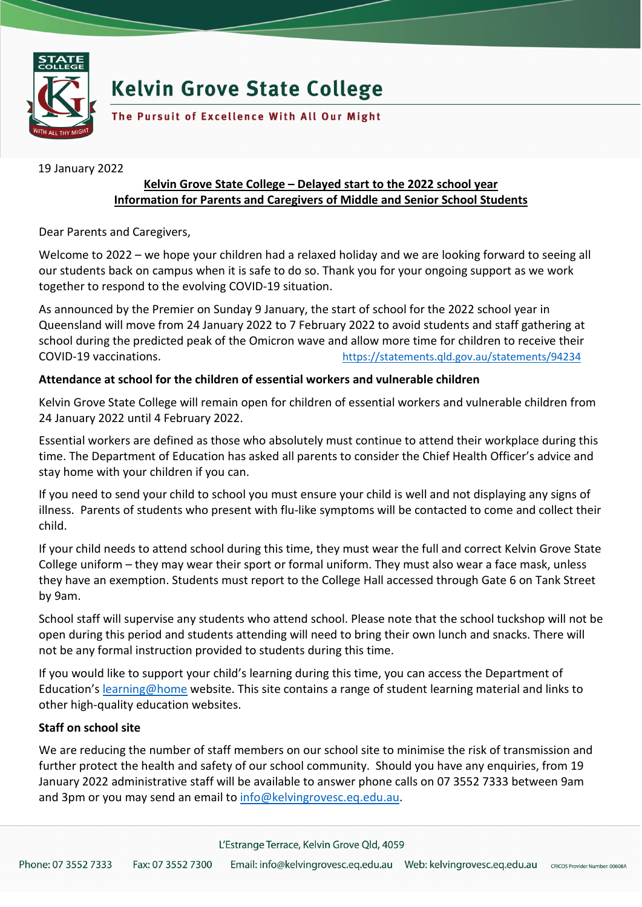

## **Kelvin Grove State College**

The Pursuit of Excellence With All Our Might

19 January 2022

## **Kelvin Grove State College – Delayed start to the 2022 school year Information for Parents and Caregivers of Middle and Senior School Students**

Dear Parents and Caregivers,

Welcome to 2022 – we hope your children had a relaxed holiday and we are looking forward to seeing all our students back on campus when it is safe to do so. Thank you for your ongoing support as we work together to respond to the evolving COVID-19 situation.

As announced by the Premier on Sunday 9 January, the start of school for the 2022 school year in Queensland will move from 24 January 2022 to 7 February 2022 to avoid students and staff gathering at school during the predicted peak of the Omicron wave and allow more time for children to receive their COVID-19 vaccinations. <https://statements.qld.gov.au/statements/94234>

## **Attendance at school for the children of essential workers and vulnerable children**

Kelvin Grove State College will remain open for children of essential workers and vulnerable children from 24 January 2022 until 4 February 2022.

Essential workers are defined as those who absolutely must continue to attend their workplace during this time. The Department of Education has asked all parents to consider the Chief Health Officer's advice and stay home with your children if you can.

If you need to send your child to school you must ensure your child is well and not displaying any signs of illness. Parents of students who present with flu-like symptoms will be contacted to come and collect their child.

If your child needs to attend school during this time, they must wear the full and correct Kelvin Grove State College uniform – they may wear their sport or formal uniform. They must also wear a face mask, unless they have an exemption. Students must report to the College Hall accessed through Gate 6 on Tank Street by 9am.

School staff will supervise any students who attend school. Please note that the school tuckshop will not be open during this period and students attending will need to bring their own lunch and snacks. There will not be any formal instruction provided to students during this time.

If you would like to support your child's learning during this time, you can access the Department of Education's [learning@home](https://education.qld.gov.au/curriculum/learning-at-home) website. This site contains a range of student learning material and links to other high-quality education websites.

## **Staff on school site**

We are reducing the number of staff members on our school site to minimise the risk of transmission and further protect the health and safety of our school community. Should you have any enquiries, from 19 January 2022 administrative staff will be available to answer phone calls on 07 3552 7333 between 9am and 3pm or you may send an email t[o info@kelvingrovesc.eq.edu.au.](mailto:info@kelvingrovesc.eq.edu.au)

L'Estrange Terrace, Kelvin Grove Qld, 4059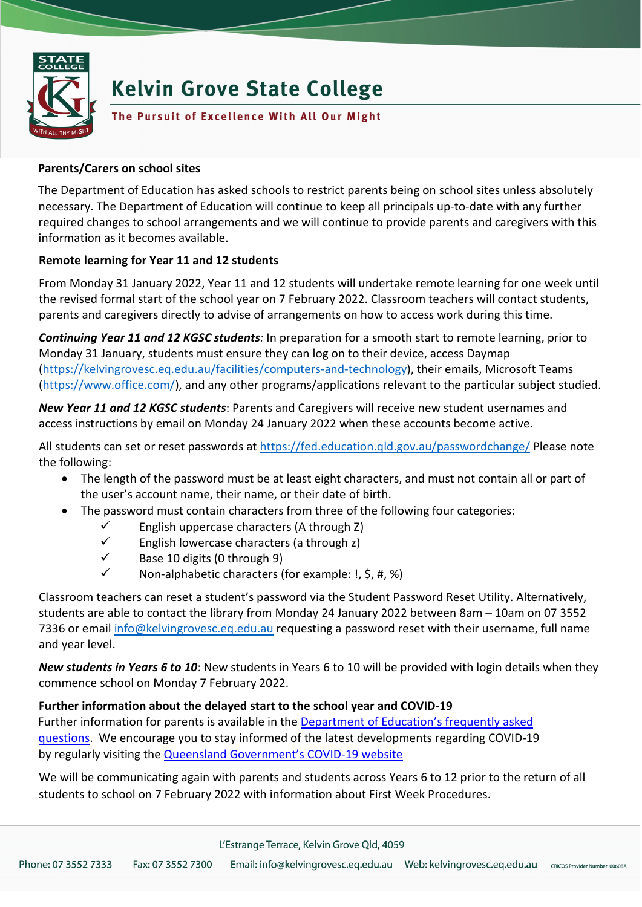

# **Kelvin Grove State College**

## The Pursuit of Excellence With All Our Might

#### **Parents/Carers on school sites**

The Department of Education has asked schools to restrict parents being on school sites unless absolutely necessary. The Department of Education will continue to keep all principals up-to-date with any further required changes to school arrangements and we will continue to provide parents and caregivers with this information as it becomes available.

## **Remote learning for Year 11 and 12 students**

From Monday 31 January 2022, Year 11 and 12 students will undertake remote learning for one week until the revised formal start of the school year on 7 February 2022. Classroom teachers will contact students, parents and caregivers directly to advise of arrangements on how to access work during this time.

*Continuing Year 11 and 12 KGSC students:* In preparation for a smooth start to remote learning, prior to Monday 31 January, students must ensure they can log on to their device, access Daymap [\(https://kelvingrovesc.eq.edu.au/facilities/computers-and-technology\)](https://kelvingrovesc.eq.edu.au/facilities/computers-and-technology), their emails, Microsoft Teams [\(https://www.office.com/\)](https://www.office.com/), and any other programs/applications relevant to the particular subject studied.

*New Year 11 and 12 KGSC students*: Parents and Caregivers will receive new student usernames and access instructions by email on Monday 24 January 2022 when these accounts become active.

All students can set or reset passwords at<https://fed.education.qld.gov.au/passwordchange/> Please note the following:

- The length of the password must be at least eight characters, and must not contain all or part of the user's account name, their name, or their date of birth.
- The password must contain characters from three of the following four categories:
	- $\checkmark$  English uppercase characters (A through Z)
	- $\checkmark$  English lowercase characters (a through z)
	- $\checkmark$  Base 10 digits (0 through 9)
	- Non-alphabetic characters (for example: !, \$, #, %)

Classroom teachers can reset a student's password via the Student Password Reset Utility. Alternatively, students are able to contact the library from Monday 24 January 2022 between 8am – 10am on 07 3552 7336 or email [info@kelvingrovesc.eq.edu.au](mailto:info@kelvingrovesc.eq.edu.au) requesting a password reset with their username, full name and year level.

*New students in Years 6 to 10*: New students in Years 6 to 10 will be provided with login details when they commence school on Monday 7 February 2022.

## **Further information about the delayed start to the school year and COVID-19**

Further information for parents is available in the Department of Education's frequently asked [questions](https://qed.qld.gov.au/covid19/frequently-asked-questions)[.](https://qed.qld.gov.au/covid19) We encourage you to stay informed of the latest developments regarding COVID-19 by regularly visiting the [Queensland Government's COVID-19 website](http://www.covid19.qld.gov.au/)

We will be communicating again with parents and students across Years 6 to 12 prior to the return of all students to school on 7 February 2022 with information about First Week Procedures.

L'Estrange Terrace, Kelvin Grove Qld, 4059